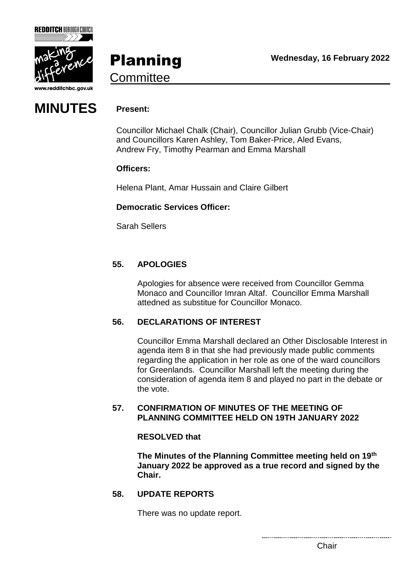

**REDDITCH BOROUGH COUNCIL** 

Planning **Committee** 



Councillor Michael Chalk (Chair), Councillor Julian Grubb (Vice-Chair) and Councillors Karen Ashley, Tom Baker-Price, Aled Evans, Andrew Fry, Timothy Pearman and Emma Marshall

## **Officers:**

Helena Plant, Amar Hussain and Claire Gilbert

### **Democratic Services Officer:**

Sarah Sellers

# **55. APOLOGIES**

Apologies for absence were received from Councillor Gemma Monaco and Councillor Imran Altaf. Councillor Emma Marshall attedned as substitue for Councillor Monaco.

### **56. DECLARATIONS OF INTEREST**

Councillor Emma Marshall declared an Other Disclosable Interest in agenda item 8 in that she had previously made public comments regarding the application in her role as one of the ward councillors for Greenlands. Councillor Marshall left the meeting during the consideration of agenda item 8 and played no part in the debate or the vote.

### **57. CONFIRMATION OF MINUTES OF THE MEETING OF PLANNING COMMITTEE HELD ON 19TH JANUARY 2022**

### **RESOLVED that**

**The Minutes of the Planning Committee meeting held on 19th January 2022 be approved as a true record and signed by the Chair.**

### **58. UPDATE REPORTS**

There was no update report.

Chair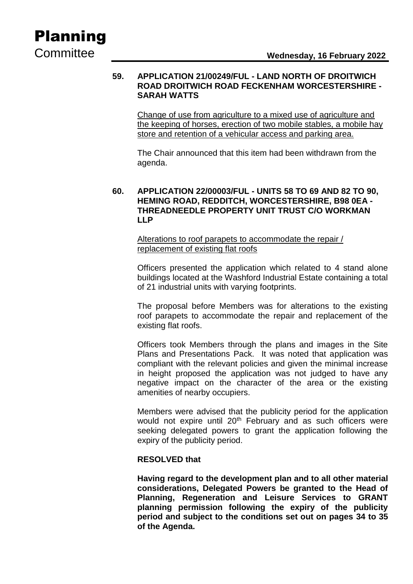# Planning

### **59. APPLICATION 21/00249/FUL - LAND NORTH OF DROITWICH ROAD DROITWICH ROAD FECKENHAM WORCESTERSHIRE - SARAH WATTS**

Change of use from agriculture to a mixed use of agriculture and the keeping of horses, erection of two mobile stables, a mobile hay store and retention of a vehicular access and parking area.

The Chair announced that this item had been withdrawn from the agenda.

## **60. APPLICATION 22/00003/FUL - UNITS 58 TO 69 AND 82 TO 90, HEMING ROAD, REDDITCH, WORCESTERSHIRE, B98 0EA - THREADNEEDLE PROPERTY UNIT TRUST C/O WORKMAN LLP**

Alterations to roof parapets to accommodate the repair / replacement of existing flat roofs

Officers presented the application which related to 4 stand alone buildings located at the Washford Industrial Estate containing a total of 21 industrial units with varying footprints.

The proposal before Members was for alterations to the existing roof parapets to accommodate the repair and replacement of the existing flat roofs.

Officers took Members through the plans and images in the Site Plans and Presentations Pack. It was noted that application was compliant with the relevant policies and given the minimal increase in height proposed the application was not judged to have any negative impact on the character of the area or the existing amenities of nearby occupiers.

Members were advised that the publicity period for the application would not expire until 20<sup>th</sup> February and as such officers were seeking delegated powers to grant the application following the expiry of the publicity period.

### **RESOLVED that**

**Having regard to the development plan and to all other material considerations, Delegated Powers be granted to the Head of Planning, Regeneration and Leisure Services to GRANT planning permission following the expiry of the publicity period and subject to the conditions set out on pages 34 to 35 of the Agenda.**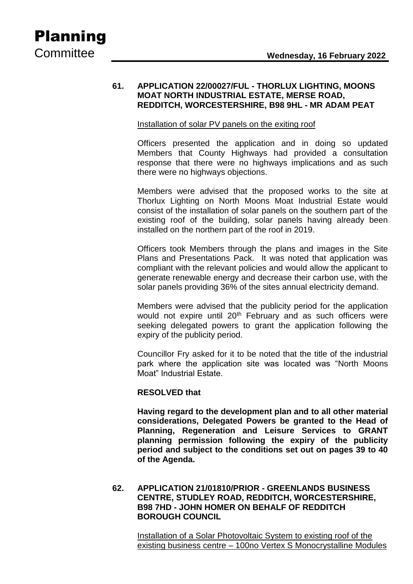### **61. APPLICATION 22/00027/FUL - THORLUX LIGHTING, MOONS MOAT NORTH INDUSTRIAL ESTATE, MERSE ROAD, REDDITCH, WORCESTERSHIRE, B98 9HL - MR ADAM PEAT**

### Installation of solar PV panels on the exiting roof

Officers presented the application and in doing so updated Members that County Highways had provided a consultation response that there were no highways implications and as such there were no highways objections.

Members were advised that the proposed works to the site at Thorlux Lighting on North Moons Moat Industrial Estate would consist of the installation of solar panels on the southern part of the existing roof of the building, solar panels having already been installed on the northern part of the roof in 2019.

Officers took Members through the plans and images in the Site Plans and Presentations Pack. It was noted that application was compliant with the relevant policies and would allow the applicant to generate renewable energy and decrease their carbon use, with the solar panels providing 36% of the sites annual electricity demand.

Members were advised that the publicity period for the application would not expire until 20<sup>th</sup> February and as such officers were seeking delegated powers to grant the application following the expiry of the publicity period.

Councillor Fry asked for it to be noted that the title of the industrial park where the application site was located was "North Moons Moat" Industrial Estate.

### **RESOLVED that**

**Having regard to the development plan and to all other material considerations, Delegated Powers be granted to the Head of Planning, Regeneration and Leisure Services to GRANT planning permission following the expiry of the publicity period and subject to the conditions set out on pages 39 to 40 of the Agenda.**

### **62. APPLICATION 21/01810/PRIOR - GREENLANDS BUSINESS CENTRE, STUDLEY ROAD, REDDITCH, WORCESTERSHIRE, B98 7HD - JOHN HOMER ON BEHALF OF REDDITCH BOROUGH COUNCIL**

Installation of a Solar Photovoltaic System to existing roof of the existing business centre – 100no Vertex S Monocrystalline Modules